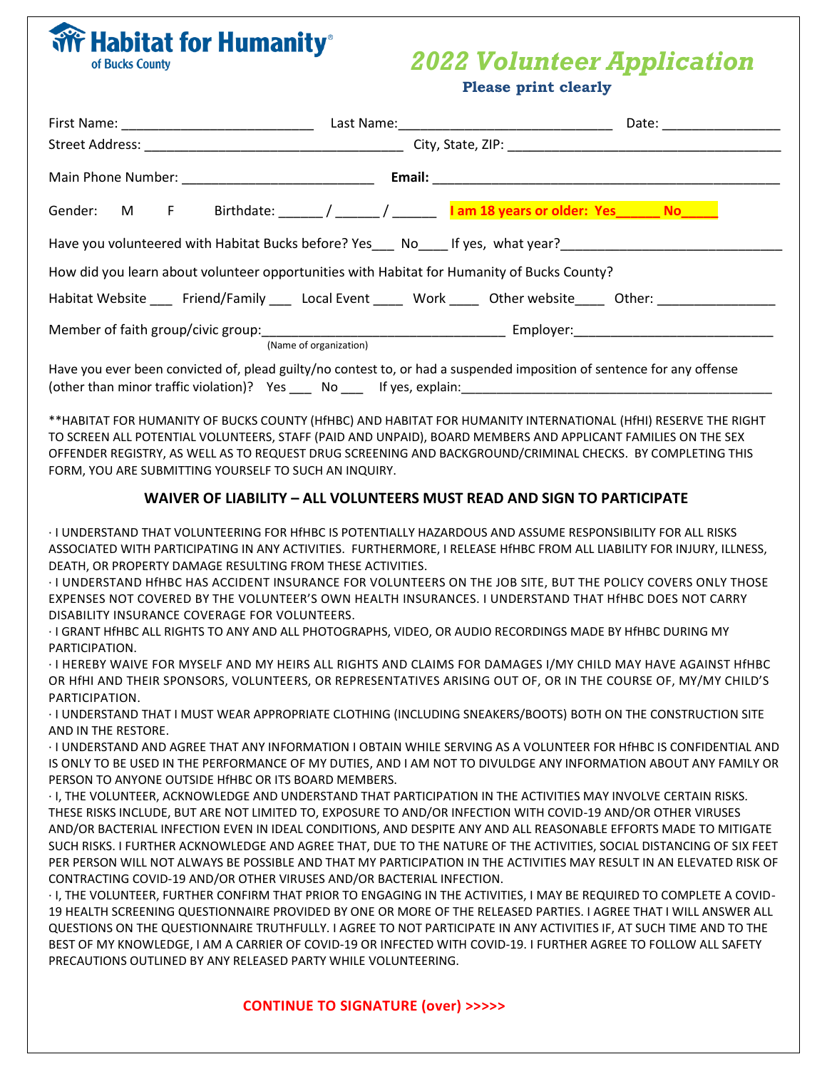## *2022 Volunteer Application*

|                                                                                                                               | <b>Please print clearly</b>                                                                                                                                                                                              |                                                                                                                                                                                                                                                                                                                                                                                                                                                                                                                                                                                                                                                                                                                                                                                                                                                                                                                                                                                                                                                                                            |
|-------------------------------------------------------------------------------------------------------------------------------|--------------------------------------------------------------------------------------------------------------------------------------------------------------------------------------------------------------------------|--------------------------------------------------------------------------------------------------------------------------------------------------------------------------------------------------------------------------------------------------------------------------------------------------------------------------------------------------------------------------------------------------------------------------------------------------------------------------------------------------------------------------------------------------------------------------------------------------------------------------------------------------------------------------------------------------------------------------------------------------------------------------------------------------------------------------------------------------------------------------------------------------------------------------------------------------------------------------------------------------------------------------------------------------------------------------------------------|
|                                                                                                                               |                                                                                                                                                                                                                          |                                                                                                                                                                                                                                                                                                                                                                                                                                                                                                                                                                                                                                                                                                                                                                                                                                                                                                                                                                                                                                                                                            |
|                                                                                                                               |                                                                                                                                                                                                                          |                                                                                                                                                                                                                                                                                                                                                                                                                                                                                                                                                                                                                                                                                                                                                                                                                                                                                                                                                                                                                                                                                            |
|                                                                                                                               |                                                                                                                                                                                                                          |                                                                                                                                                                                                                                                                                                                                                                                                                                                                                                                                                                                                                                                                                                                                                                                                                                                                                                                                                                                                                                                                                            |
|                                                                                                                               | Gender: M F Birthdate: ______ / ______ / ______ 1 am 18 years or older: Yes______ No_____                                                                                                                                |                                                                                                                                                                                                                                                                                                                                                                                                                                                                                                                                                                                                                                                                                                                                                                                                                                                                                                                                                                                                                                                                                            |
| Have you volunteered with Habitat Bucks before? Yes___ No____ If yes, what year?______________________________                |                                                                                                                                                                                                                          |                                                                                                                                                                                                                                                                                                                                                                                                                                                                                                                                                                                                                                                                                                                                                                                                                                                                                                                                                                                                                                                                                            |
| How did you learn about volunteer opportunities with Habitat for Humanity of Bucks County?                                    |                                                                                                                                                                                                                          |                                                                                                                                                                                                                                                                                                                                                                                                                                                                                                                                                                                                                                                                                                                                                                                                                                                                                                                                                                                                                                                                                            |
|                                                                                                                               |                                                                                                                                                                                                                          | Habitat Website Friend/Family Local Event Work Other website Other:                                                                                                                                                                                                                                                                                                                                                                                                                                                                                                                                                                                                                                                                                                                                                                                                                                                                                                                                                                                                                        |
|                                                                                                                               |                                                                                                                                                                                                                          | Member of faith group/civic group: (Name of organization) example and the Employer: Employer: Employer:                                                                                                                                                                                                                                                                                                                                                                                                                                                                                                                                                                                                                                                                                                                                                                                                                                                                                                                                                                                    |
|                                                                                                                               | Have you ever been convicted of, plead guilty/no contest to, or had a suspended imposition of sentence for any offense                                                                                                   |                                                                                                                                                                                                                                                                                                                                                                                                                                                                                                                                                                                                                                                                                                                                                                                                                                                                                                                                                                                                                                                                                            |
| FORM, YOU ARE SUBMITTING YOURSELF TO SUCH AN INQUIRY.                                                                         |                                                                                                                                                                                                                          | **HABITAT FOR HUMANITY OF BUCKS COUNTY (HfHBC) AND HABITAT FOR HUMANITY INTERNATIONAL (HfHI) RESERVE THE RIGHT<br>TO SCREEN ALL POTENTIAL VOLUNTEERS, STAFF (PAID AND UNPAID), BOARD MEMBERS AND APPLICANT FAMILIES ON THE SEX<br>OFFENDER REGISTRY, AS WELL AS TO REQUEST DRUG SCREENING AND BACKGROUND/CRIMINAL CHECKS. BY COMPLETING THIS                                                                                                                                                                                                                                                                                                                                                                                                                                                                                                                                                                                                                                                                                                                                               |
|                                                                                                                               | WAIVER OF LIABILITY - ALL VOLUNTEERS MUST READ AND SIGN TO PARTICIPATE                                                                                                                                                   |                                                                                                                                                                                                                                                                                                                                                                                                                                                                                                                                                                                                                                                                                                                                                                                                                                                                                                                                                                                                                                                                                            |
| DEATH, OR PROPERTY DAMAGE RESULTING FROM THESE ACTIVITIES.<br>DISABILITY INSURANCE COVERAGE FOR VOLUNTEERS.<br>PARTICIPATION. | I UNDERSTAND THAT VOLUNTEERING FOR HfHBC IS POTENTIALLY HAZARDOUS AND ASSUME RESPONSIBILITY FOR ALL RISKS .<br>I GRANT HIHBC ALL RIGHTS TO ANY AND ALL PHOTOGRAPHS, VIDEO, OR AUDIO RECORDINGS MADE BY HIHBC DURING MY - | ASSOCIATED WITH PARTICIPATING IN ANY ACTIVITIES. FURTHERMORE, I RELEASE HfHBC FROM ALL LIABILITY FOR INJURY, ILLNESS,<br>I UNDERSTAND HIHBC HAS ACCIDENT INSURANCE FOR VOLUNTEERS ON THE JOB SITE, BUT THE POLICY COVERS ONLY THOSE .<br>EXPENSES NOT COVERED BY THE VOLUNTEER'S OWN HEALTH INSURANCES. I UNDERSTAND THAT HfHBC DOES NOT CARRY                                                                                                                                                                                                                                                                                                                                                                                                                                                                                                                                                                                                                                                                                                                                             |
| PARTICIPATION.                                                                                                                |                                                                                                                                                                                                                          | I HEREBY WAIVE FOR MYSELF AND MY HEIRS ALL RIGHTS AND CLAIMS FOR DAMAGES I/MY CHILD MAY HAVE AGAINST HfHBC .<br>OR HfHI AND THEIR SPONSORS, VOLUNTEERS, OR REPRESENTATIVES ARISING OUT OF, OR IN THE COURSE OF, MY/MY CHILD'S                                                                                                                                                                                                                                                                                                                                                                                                                                                                                                                                                                                                                                                                                                                                                                                                                                                              |
| AND IN THE RESTORE.                                                                                                           |                                                                                                                                                                                                                          | I UNDERSTAND THAT I MUST WEAR APPROPRIATE CLOTHING (INCLUDING SNEAKERS/BOOTS) BOTH ON THE CONSTRUCTION SITE -<br>I UNDERSTAND AND AGREE THAT ANY INFORMATION I OBTAIN WHILE SERVING AS A VOLUNTEER FOR HfHBC IS CONFIDENTIAL AND                                                                                                                                                                                                                                                                                                                                                                                                                                                                                                                                                                                                                                                                                                                                                                                                                                                           |
| PERSON TO ANYONE OUTSIDE HfHBC OR ITS BOARD MEMBERS.<br>PRECAUTIONS OUTLINED BY ANY RELEASED PARTY WHILE VOLUNTEERING.        | THESE RISKS INCLUDE, BUT ARE NOT LIMITED TO, EXPOSURE TO AND/OR INFECTION WITH COVID-19 AND/OR OTHER VIRUSES<br>CONTRACTING COVID-19 AND/OR OTHER VIRUSES AND/OR BACTERIAL INFECTION.                                    | IS ONLY TO BE USED IN THE PERFORMANCE OF MY DUTIES, AND I AM NOT TO DIVULDGE ANY INFORMATION ABOUT ANY FAMILY OR<br>I, THE VOLUNTEER, ACKNOWLEDGE AND UNDERSTAND THAT PARTICIPATION IN THE ACTIVITIES MAY INVOLVE CERTAIN RISKS.<br>AND/OR BACTERIAL INFECTION EVEN IN IDEAL CONDITIONS, AND DESPITE ANY AND ALL REASONABLE EFFORTS MADE TO MITIGATE<br>SUCH RISKS. I FURTHER ACKNOWLEDGE AND AGREE THAT, DUE TO THE NATURE OF THE ACTIVITIES, SOCIAL DISTANCING OF SIX FEET<br>PER PERSON WILL NOT ALWAYS BE POSSIBLE AND THAT MY PARTICIPATION IN THE ACTIVITIES MAY RESULT IN AN ELEVATED RISK OF<br>I, THE VOLUNTEER, FURTHER CONFIRM THAT PRIOR TO ENGAGING IN THE ACTIVITIES, I MAY BE REQUIRED TO COMPLETE A COVID-<br>19 HEALTH SCREENING QUESTIONNAIRE PROVIDED BY ONE OR MORE OF THE RELEASED PARTIES. I AGREE THAT I WILL ANSWER ALL<br>QUESTIONS ON THE QUESTIONNAIRE TRUTHFULLY. I AGREE TO NOT PARTICIPATE IN ANY ACTIVITIES IF, AT SUCH TIME AND TO THE<br>BEST OF MY KNOWLEDGE, I AM A CARRIER OF COVID-19 OR INFECTED WITH COVID-19. I FURTHER AGREE TO FOLLOW ALL SAFETY |

## **CONTINUE TO SIGNATURE (over) >>>>>**